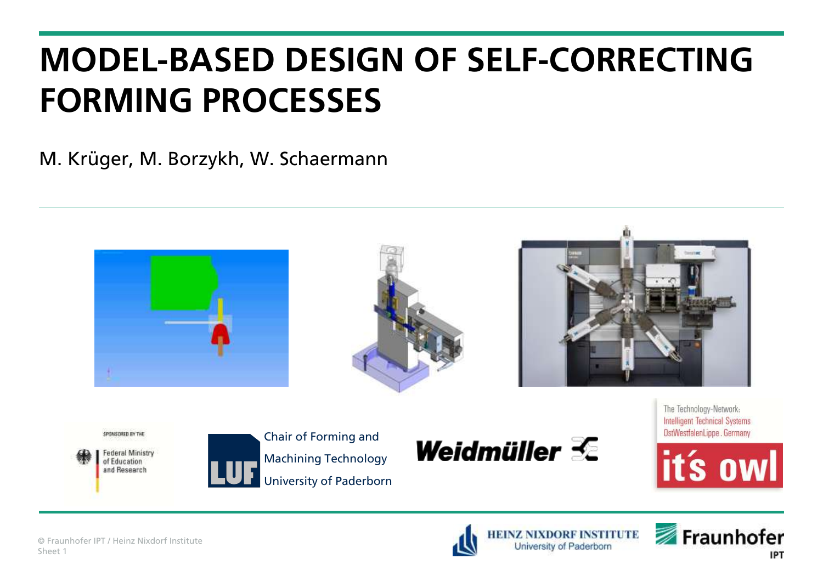M. Krüger, M. Borzykh, W. Schaermann







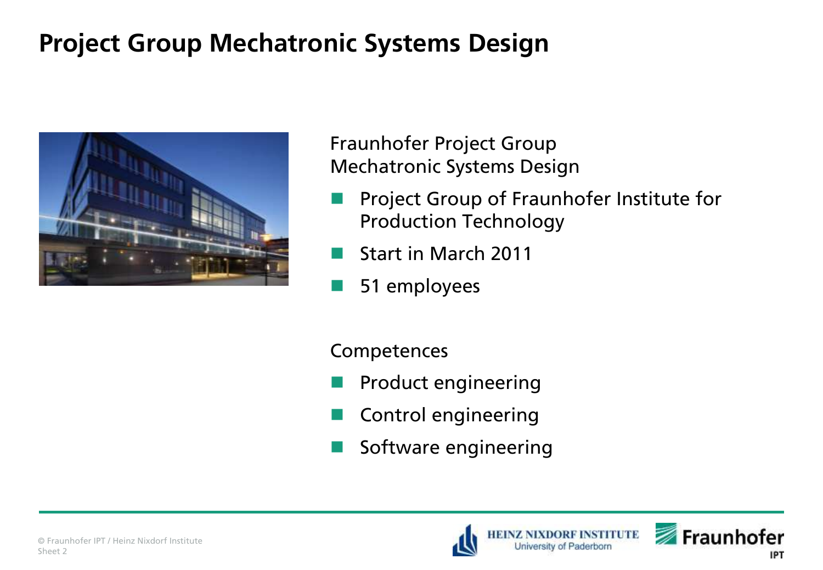## **Project Group Mechatronic Systems Design**



Fraunhofer Project Group Mechatronic Systems Design

- Project Group of Fraunhofer Institute for Production Technology
- Start in March 2011
- **51 employees**

**Competences** 

- Product engineering
- Control engineering
- Software engineering





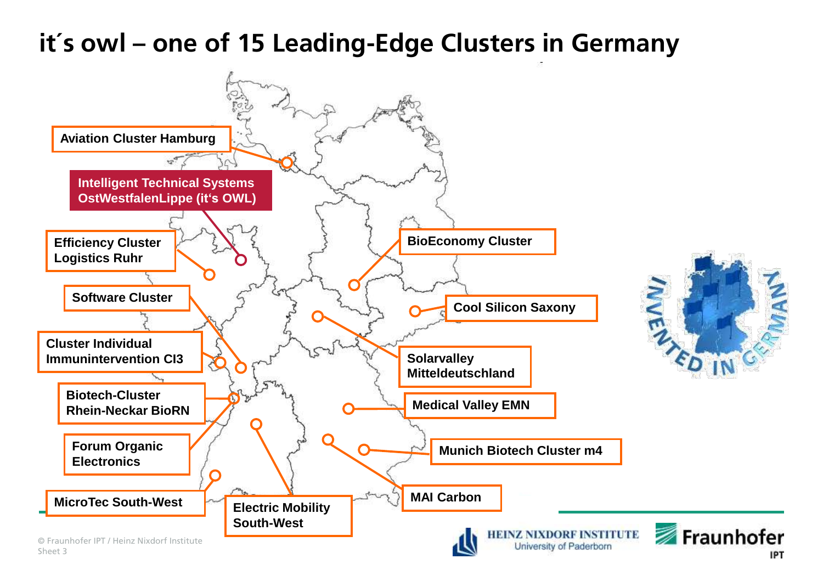## **it´s owl – one of 15 Leading-Edge Clusters in Germany**

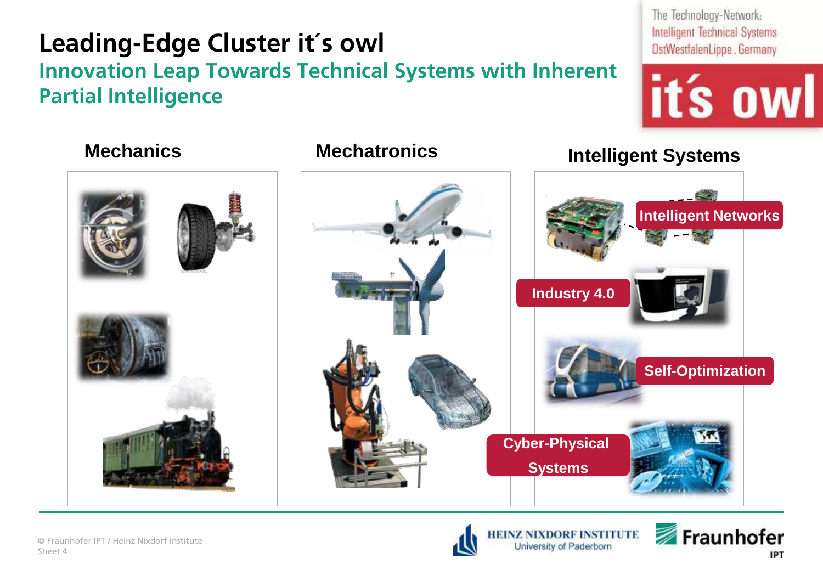## **Leading-Edge Cluster it´s owl**

#### **Innovation Leap Towards Technical Systems with Inherent Partial Intelligence**

The Technology-Network: **Intelligent Technical Systems** OstWestfalenLippe . Germany





#### **Mechanics Mechatronics Intelligent Systems**







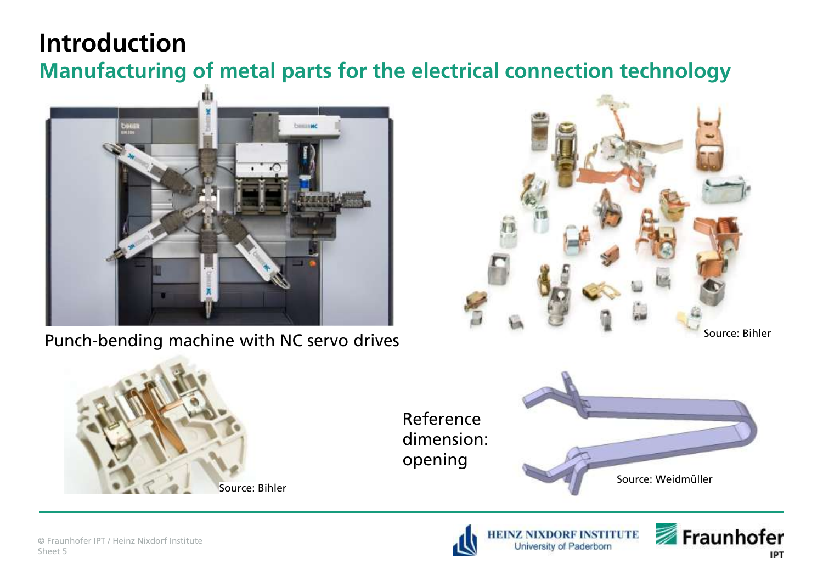#### **Introduction**

**Manufacturing of metal parts for the electrical connection technology**



Punch-bending machine with NC servo drives





Reference dimension: opening



University of Paderborn



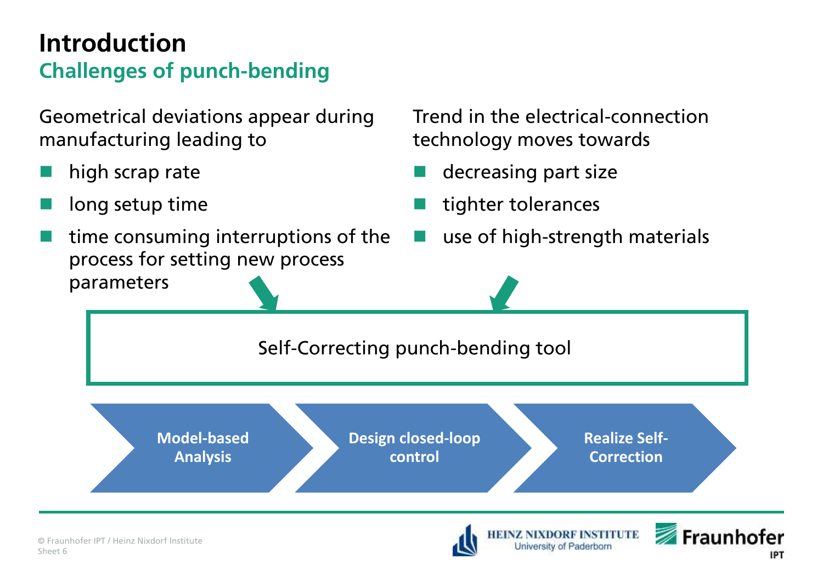#### **Introduction Challenges of punch-bending**

Geometrical deviations appear during manufacturing leading to

- high scrap rate
- long setup time
- time consuming interruptions of the process for setting new process parameters

Trend in the electrical-connection technology moves towards

- decreasing part size
- tighter tolerances
- use of high-strength materials

Self-Correcting punch-bending tool

**Model-based Analysis**

**Design closed-loop control**

**Realize Self-Correction**

**INSTITUTE** 

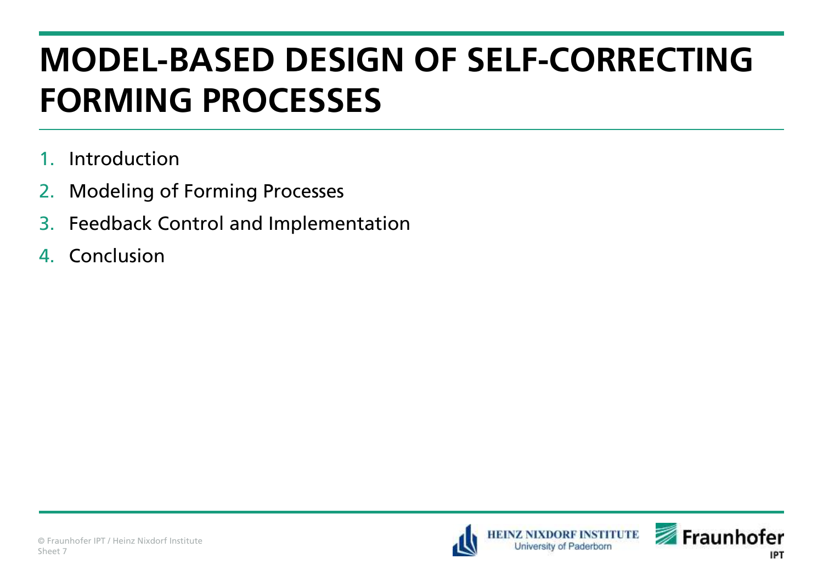- 1. Introduction
- 2. Modeling of Forming Processes
- 3. Feedback Control and Implementation
- 4. Conclusion



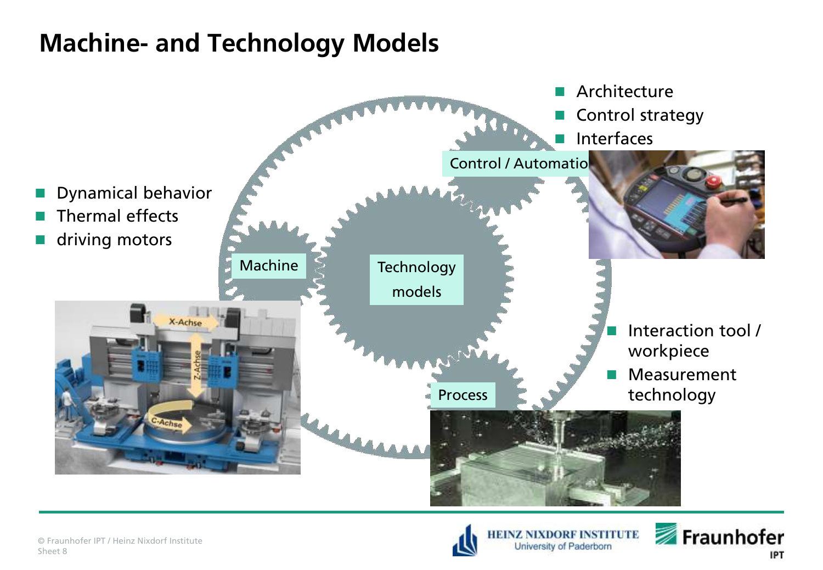#### **Machine- and Technology Models**





University of Paderborn

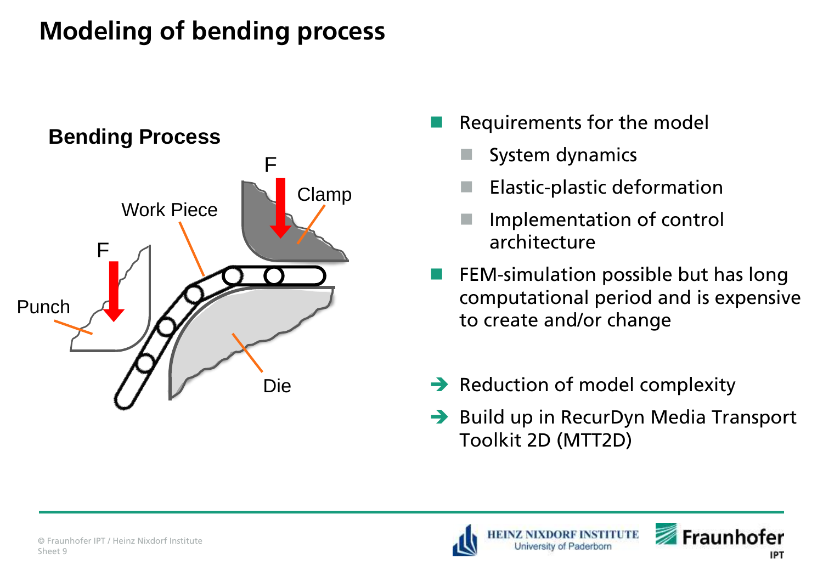## **Modeling of bending process**



- Requirements for the model
	- System dynamics
	- Elastic-plastic deformation
	- Implementation of control architecture
- FEM-simulation possible but has long computational period and is expensive to create and/or change
- $\rightarrow$  Reduction of model complexity
- $\rightarrow$  Build up in RecurDyn Media Transport Toolkit 2D (MTT2D)

**NTURE** 



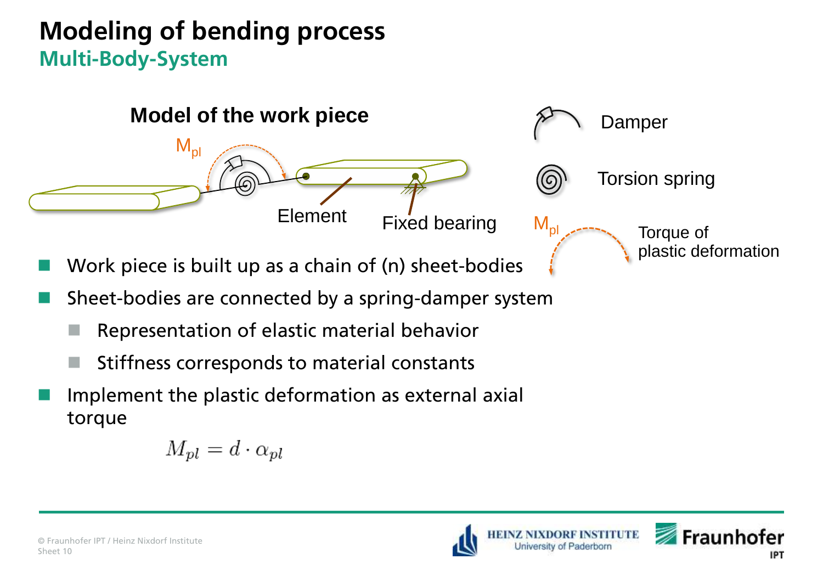#### **Modeling of bending process Multi-Body-System**



- Work piece is built up as a chain of (n) sheet-bodies
- Sheet-bodies are connected by a spring-damper system
	- Representation of elastic material behavior
	- $\blacksquare$  Stiffness corresponds to material constants
- Implement the plastic deformation as external axial torque

$$
M_{pl}=d\cdot\alpha_{pl}
$$





**NTUTE**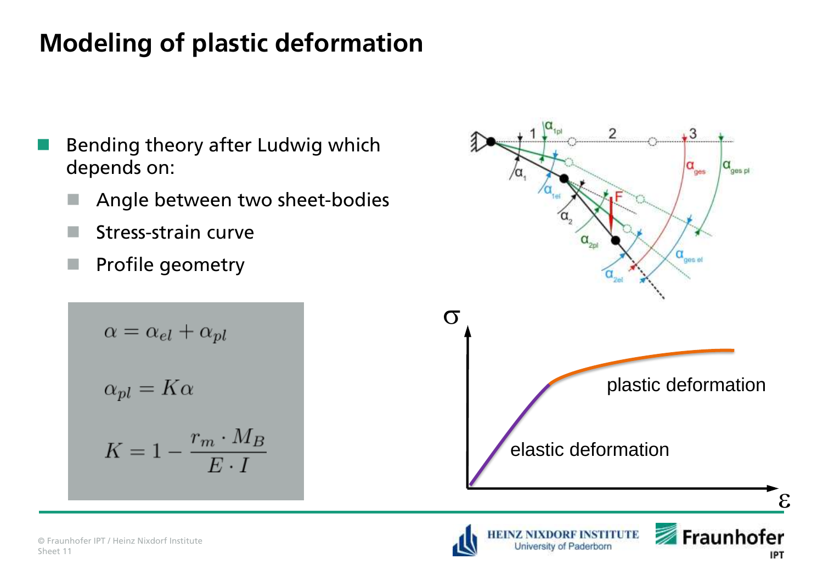## **Modeling of plastic deformation**

- Bending theory after Ludwig which depends on:
	- Angle between two sheet-bodies
	- $\blacksquare$  Stress-strain curve
	- **Profile geometry**

$$
\alpha = \alpha_{el} + \alpha_{pl}
$$
  

$$
\alpha_{pl} = K\alpha
$$
  

$$
K = 1 - \frac{r_m \cdot M_B}{E \cdot I}
$$

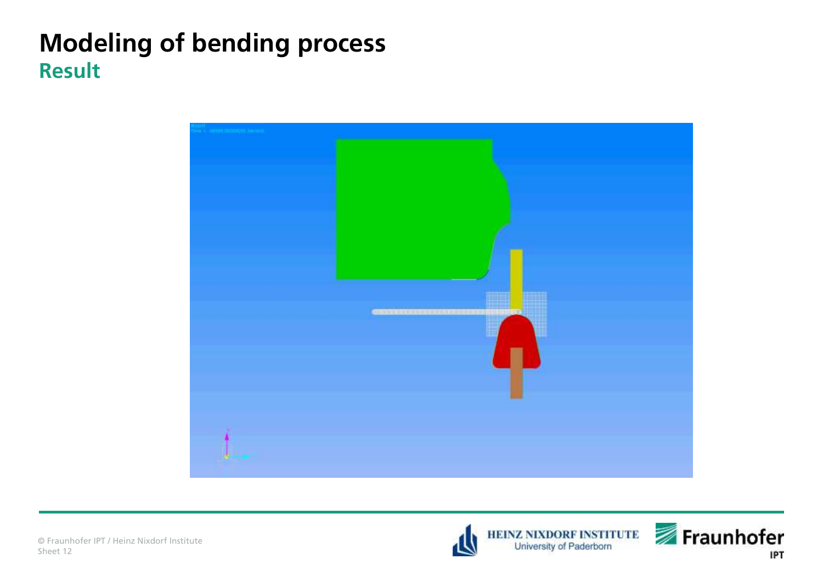#### **Modeling of bending process Result**





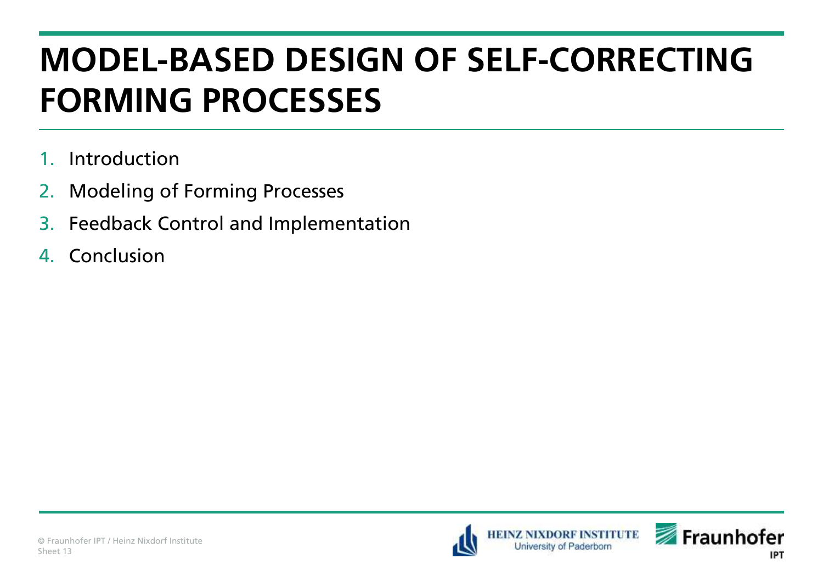- 1. Introduction
- 2. Modeling of Forming Processes
- 3. Feedback Control and Implementation
- 4. Conclusion



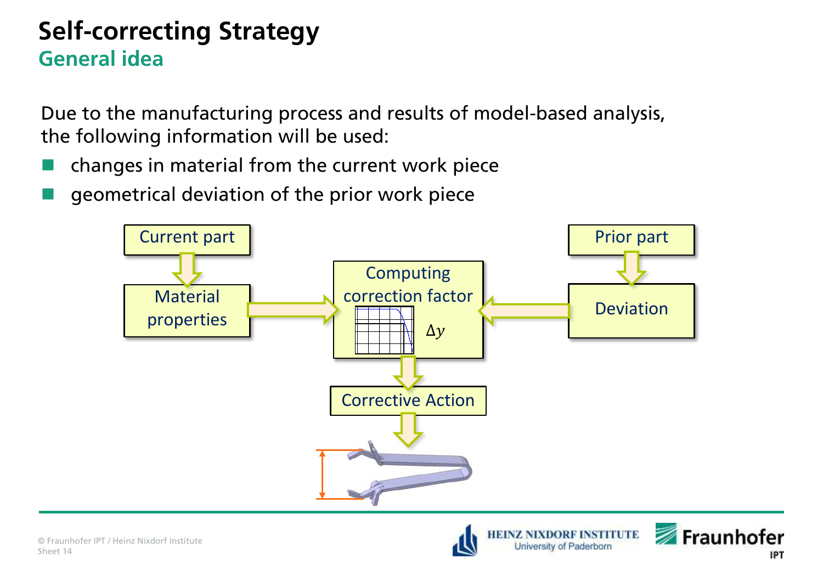#### **Self-correcting Strategy General idea**

Due to the manufacturing process and results of model-based analysis, the following information will be used:

- changes in material from the current work piece
- geometrical deviation of the prior work piece



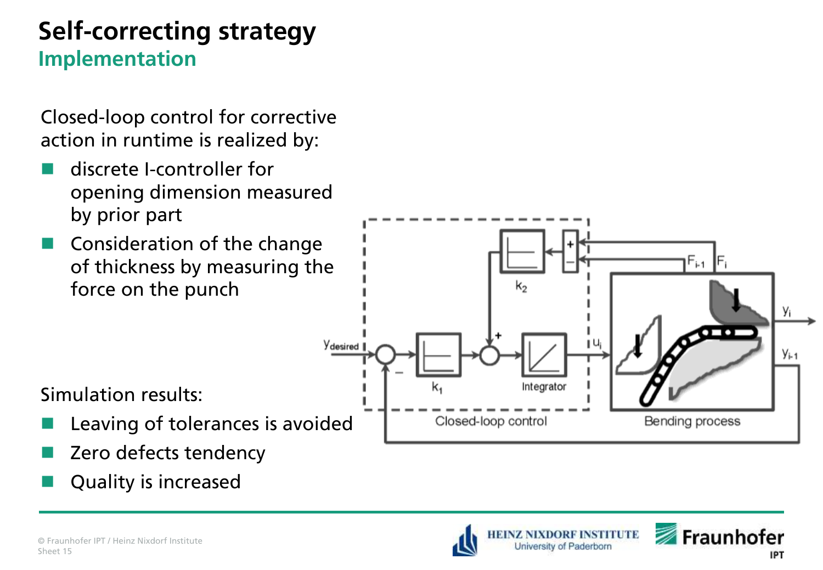#### **Self-correcting strategy Implementation**

Closed-loop control for corrective action in runtime is realized by:

- discrete I-controller for opening dimension measured by prior part
- Consideration of the change of thickness by measuring the force on the punch



Simulation results:

- Leaving of tolerances is avoided
- Zero defects tendency
- Quality is increased



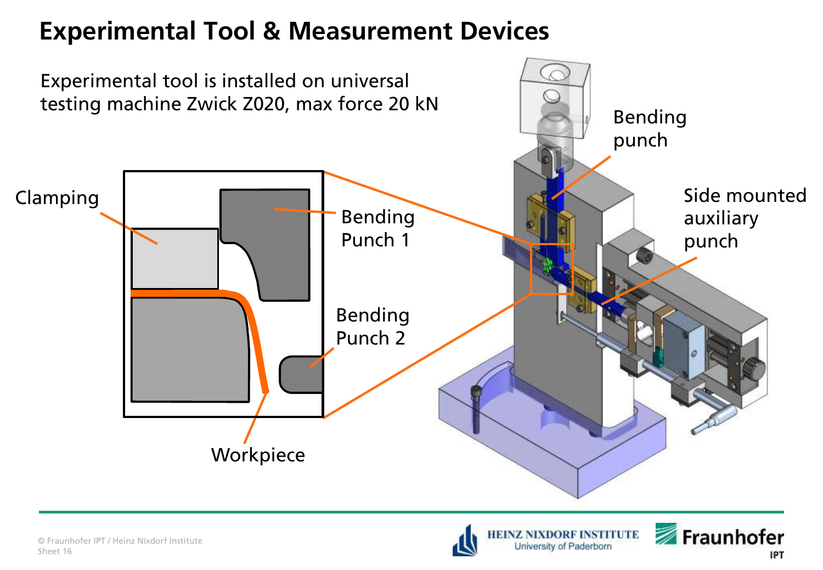#### **Experimental Tool & Measurement Devices**





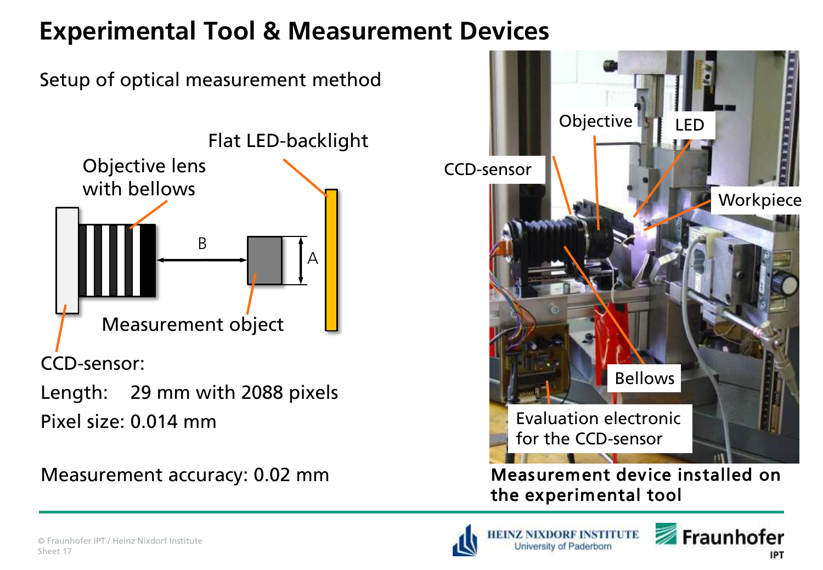#### **Experimental Tool & Measurement Devices**



Length: 29 mm with 2088 pixels Pixel size: 0.014 mm



Measurement accuracy: 0.02 mm Measurement device installed on the experimental tool





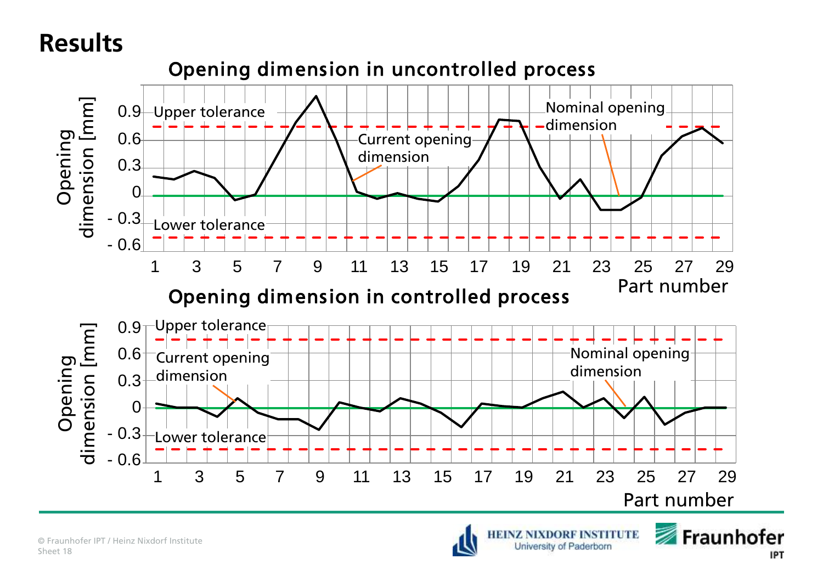#### **Results**





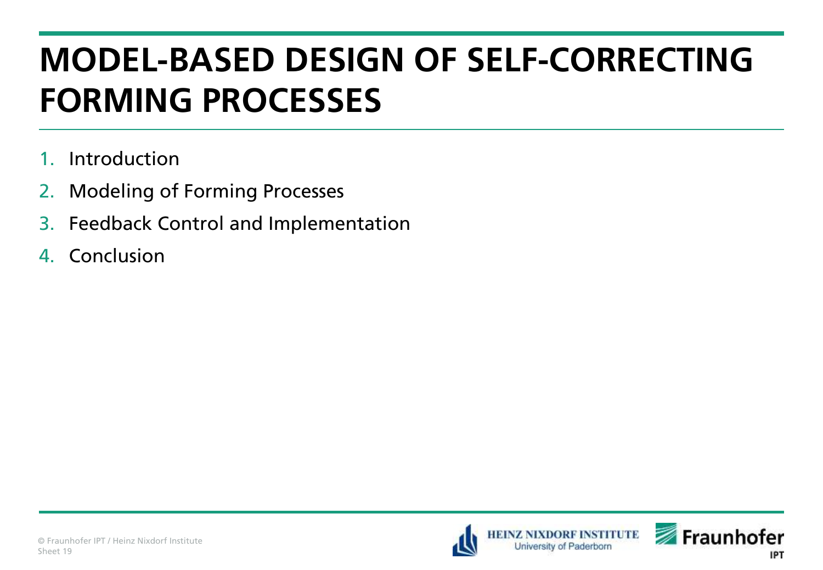- 1. Introduction
- 2. Modeling of Forming Processes
- 3. Feedback Control and Implementation
- 4. Conclusion